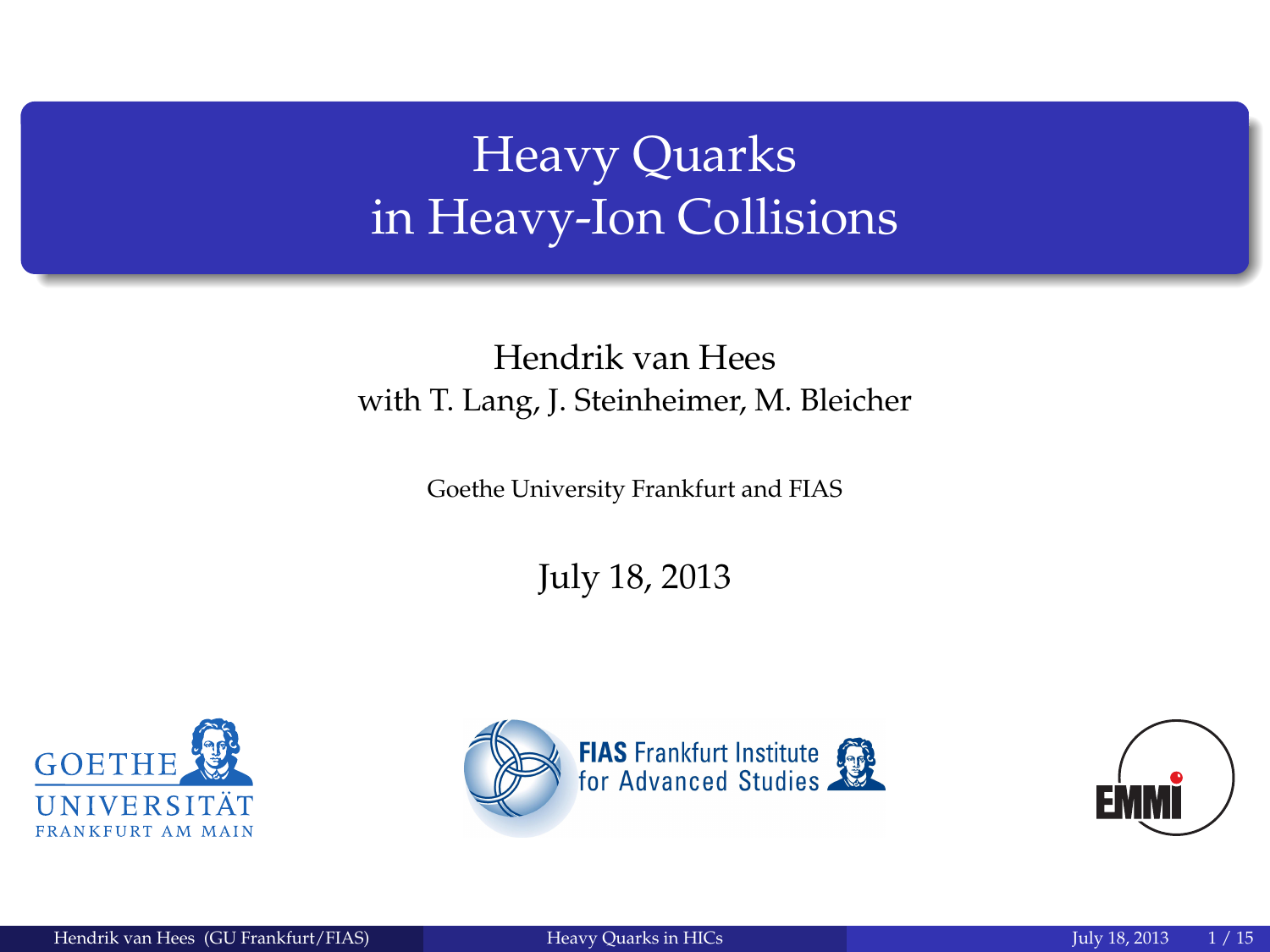# Heavy Quarks in Heavy-Ion Collisions

### Hendrik van Hees with T. Lang, J. Steinheimer, M. Bleicher

Goethe University Frankfurt and FIAS

July 18, 2013





<span id="page-0-0"></span>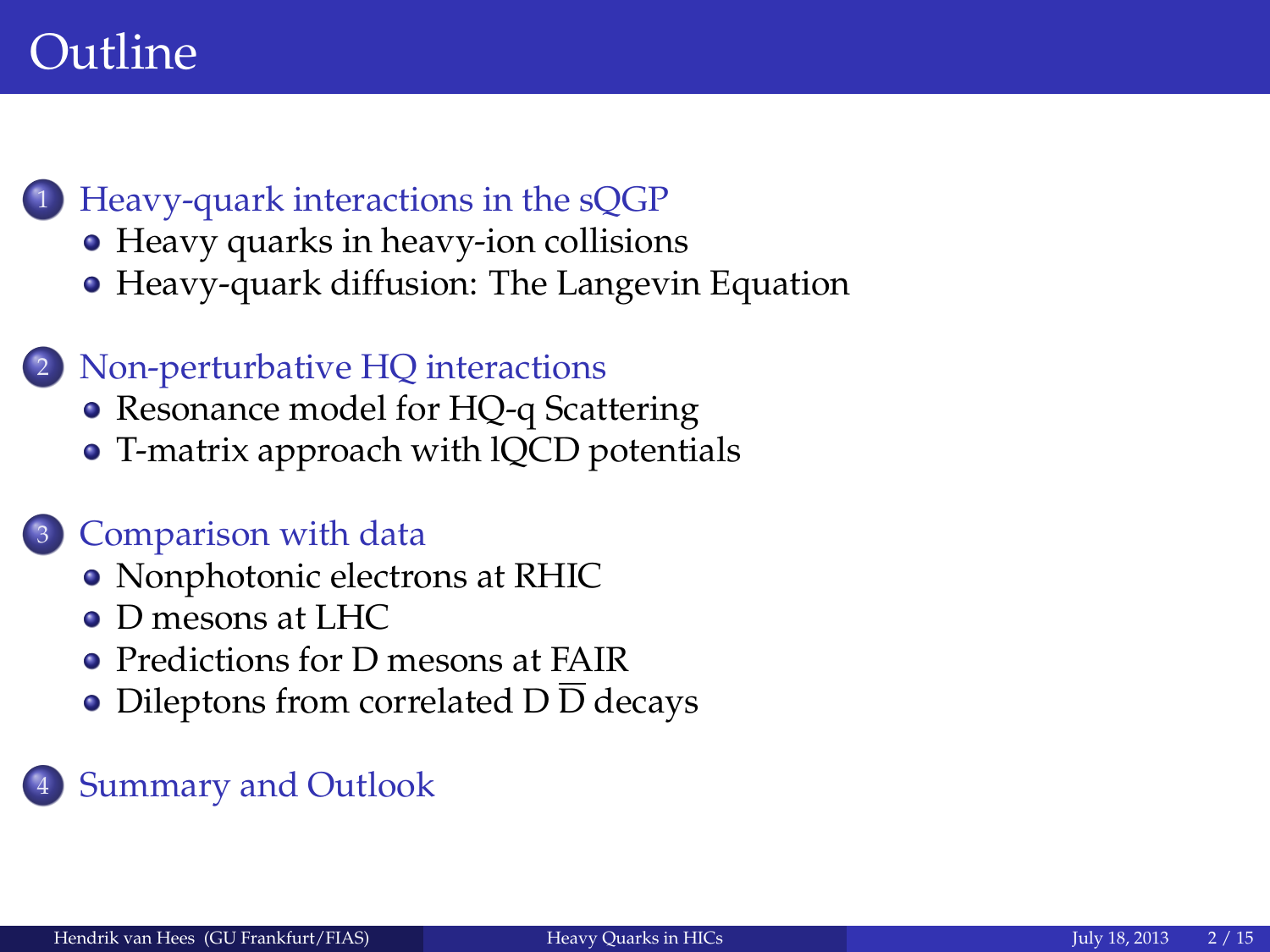## Outline

- <sup>1</sup> [Heavy-quark interactions in the sQGP](#page-2-0)
	- [Heavy quarks in heavy-ion collisions](#page-2-0)
	- [Heavy-quark diffusion: The Langevin Equation](#page-4-0)
	- Non-perturbative HO interactions
		- [Resonance model for HQ-q Scattering](#page-5-0)
		- [T-matrix approach with lQCD potentials](#page-6-0)

### <sup>3</sup> [Comparison with data](#page-8-0)

- [Nonphotonic electrons at RHIC](#page-8-0)
- [D mesons at LHC](#page-9-0)
- [Predictions for D mesons at FAIR](#page-10-0)
- [Dileptons from correlated D](#page-13-0) D decays

### **[Summary and Outlook](#page-14-0)**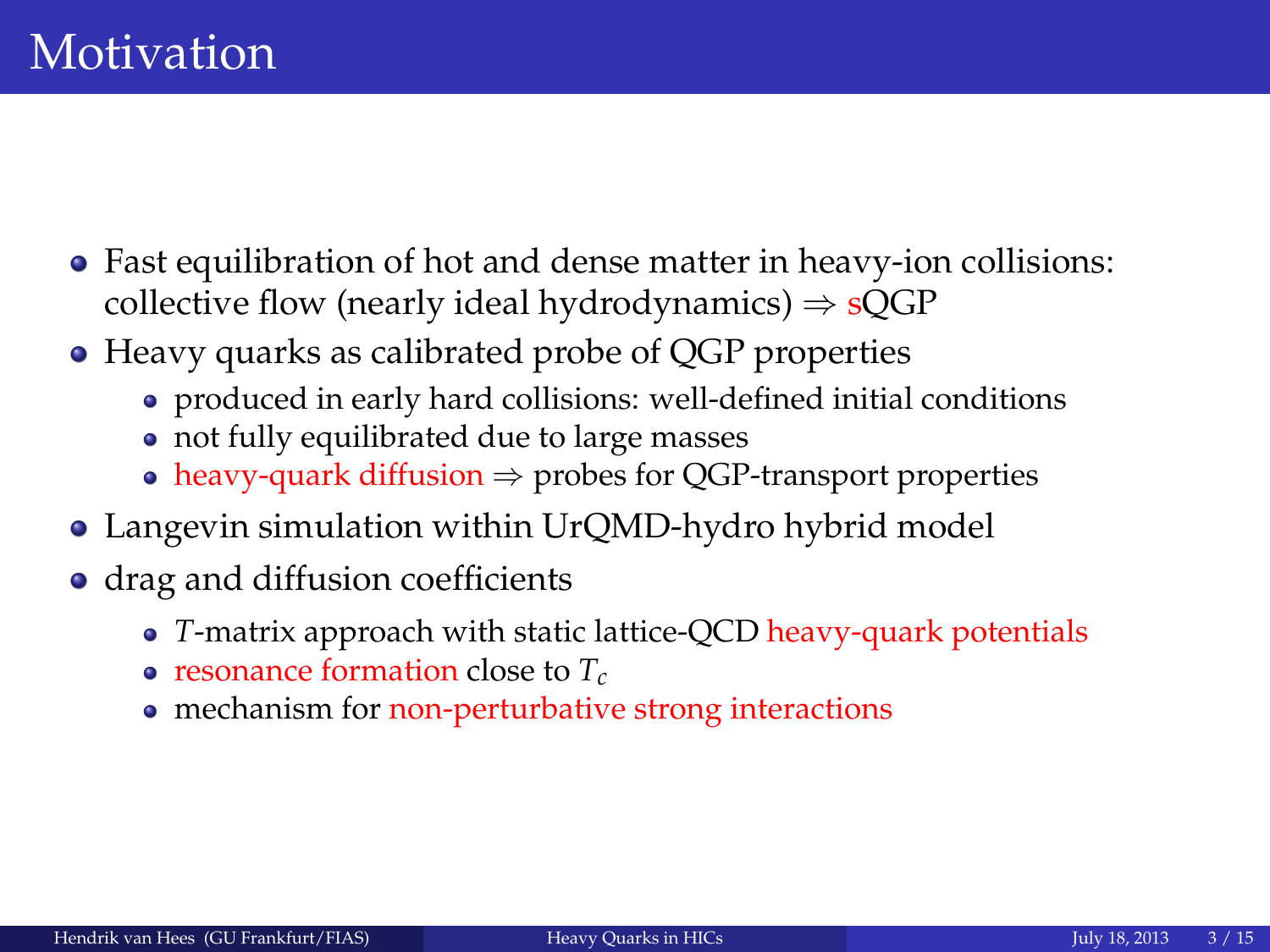- Fast equilibration of hot and dense matter in heavy-ion collisions: collective flow (nearly ideal hydrodynamics)  $\Rightarrow$  sQGP
- Heavy quarks as calibrated probe of QGP properties
	- produced in early hard collisions: well-defined initial conditions
	- not fully equilibrated due to large masses
	- heavy-quark diffusion  $\Rightarrow$  probes for QGP-transport properties
- Langevin simulation within UrQMD-hydro hybrid model
- <span id="page-2-0"></span>• drag and diffusion coefficients
	- *T*-matrix approach with static lattice-QCD heavy-quark potentials
	- resonance formation close to *Tc*
	- mechanism for non-perturbative strong interactions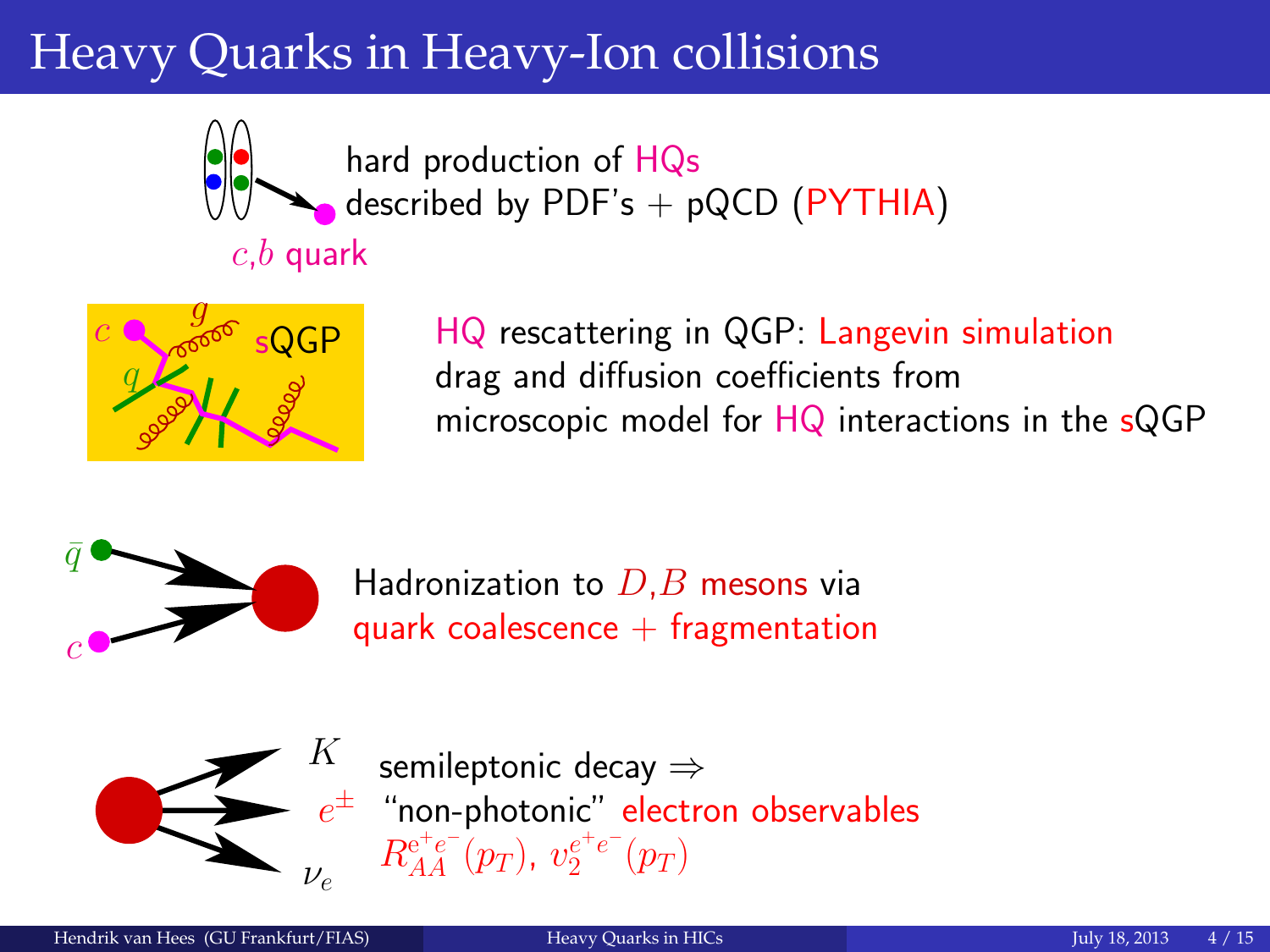# Heavy Quarks in Heavy-Ion collisions



hard production of HQs described by  $PDF's + pQCD$  ( $PYTHIA$ )

### $c,b$  quark



HQ rescattering in QGP: Langevin simulation drag and diffusion coefficients from microscopic model for HQ interactions in the sQGP



Hadronization to  $D,B$  mesons via quark coalescence  $+$  fragmentation



 $e^\pm$  "non-photonic" electron observables semileptonic decay ⇒  $R_{AA}^{\mathrm{e^+e^-}}(p_T),\ v_{2}^{e^+e^-}(p_T)$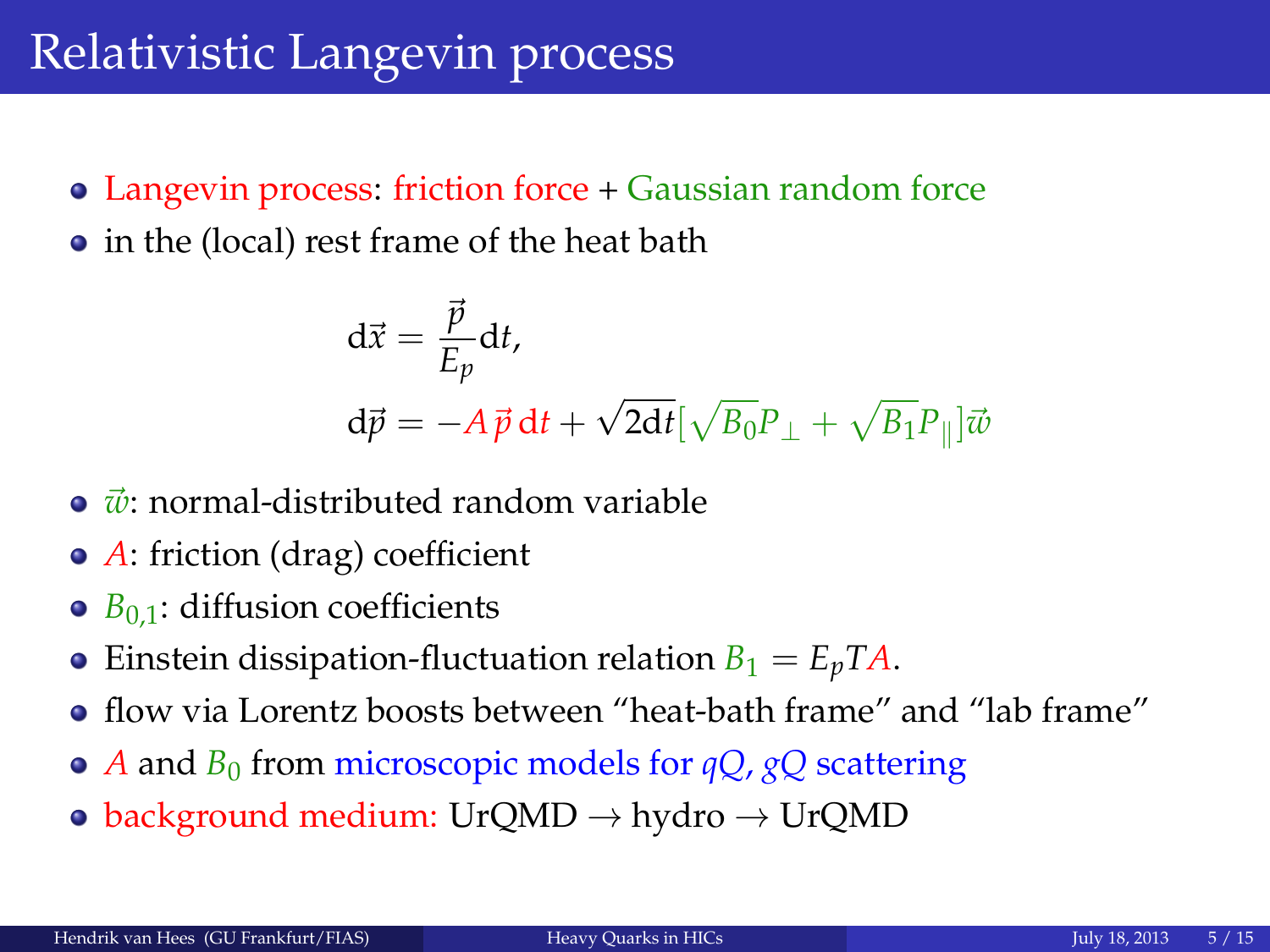## Relativistic Langevin process

- Langevin process: friction force + Gaussian random force
- in the (local) rest frame of the heat bath

<span id="page-4-0"></span>
$$
\begin{aligned} \mathbf{d}\vec{x} &= \frac{\vec{p}}{E_p} \mathbf{d}t, \\ \mathbf{d}\vec{p} &= -A\,\vec{p}\,\mathbf{d}t + \sqrt{2\mathbf{d}t} \left[\sqrt{B_0}P_\perp + \sqrt{B_1}P_\parallel\right] \vec{w} \end{aligned}
$$

- $\vec{w}$ : normal-distributed random variable
- *A*: friction (drag) coefficient
- $\circ$   $B_{0,1}$ : diffusion coefficients
- Einstein dissipation-fluctuation relation  $B_1 = E_p T A$ .
- flow via Lorentz boosts between "heat-bath frame" and "lab frame"
- *A* and *B*<sup>0</sup> from microscopic models for *qQ*, *gQ* scattering
- background medium: UrQMD  $\rightarrow$  hydro  $\rightarrow$  UrQMD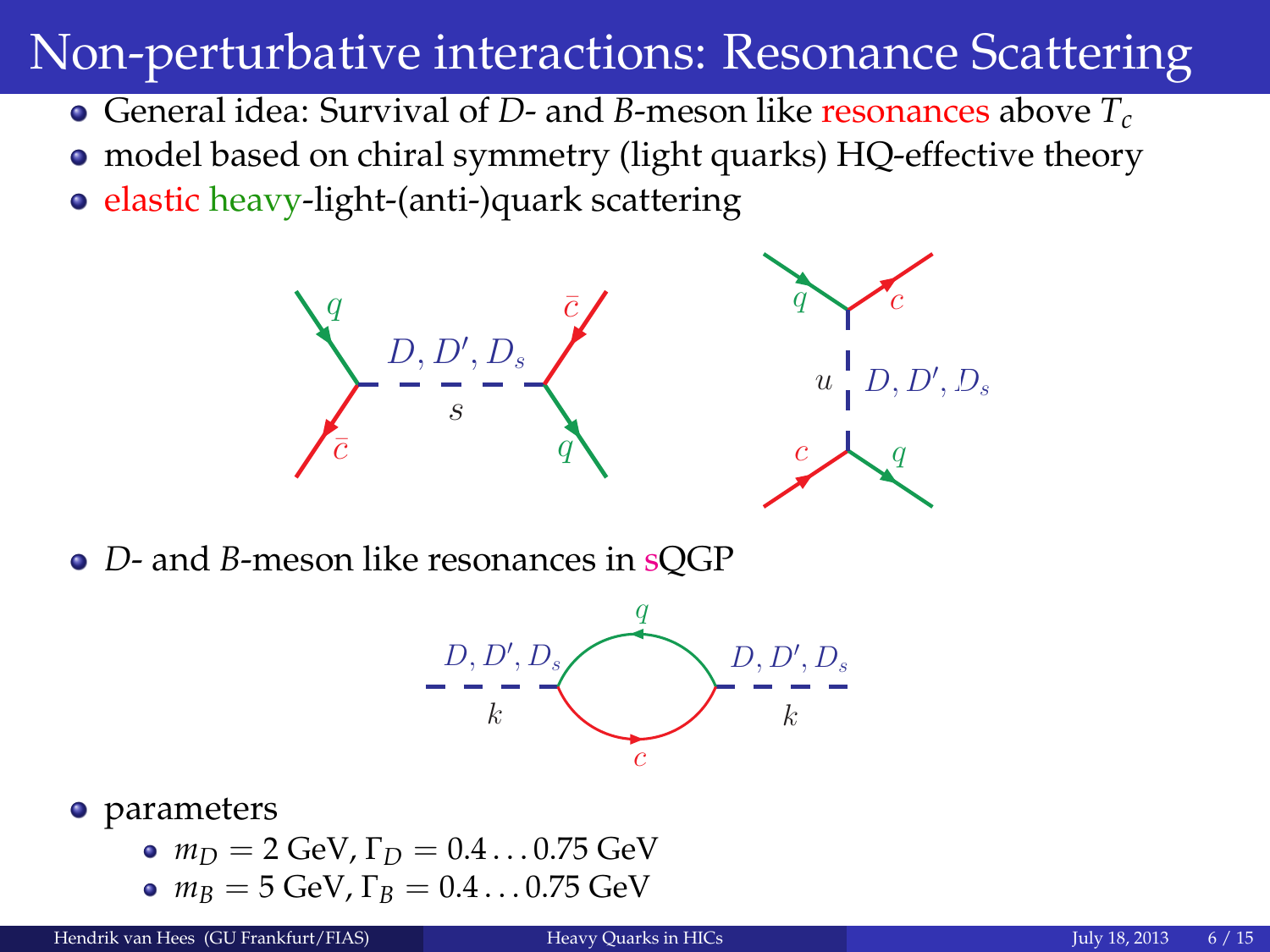## Non-perturbative interactions: Resonance Scattering

- General idea: Survival of *D* and *B*-meson like resonances above *T<sup>c</sup>*
- model based on chiral symmetry (light quarks) HQ-effective theory
- elastic heavy-light-(anti-)quark scattering



*D*- and *B*-meson like resonances in sQGP

<span id="page-5-0"></span>

#### • parameters

 $m_D = 2$  GeV,  $\Gamma_D = 0.4 \dots 0.75$  GeV  $m_B = 5$  GeV,  $\Gamma_B = 0.4 \dots 0.75$  GeV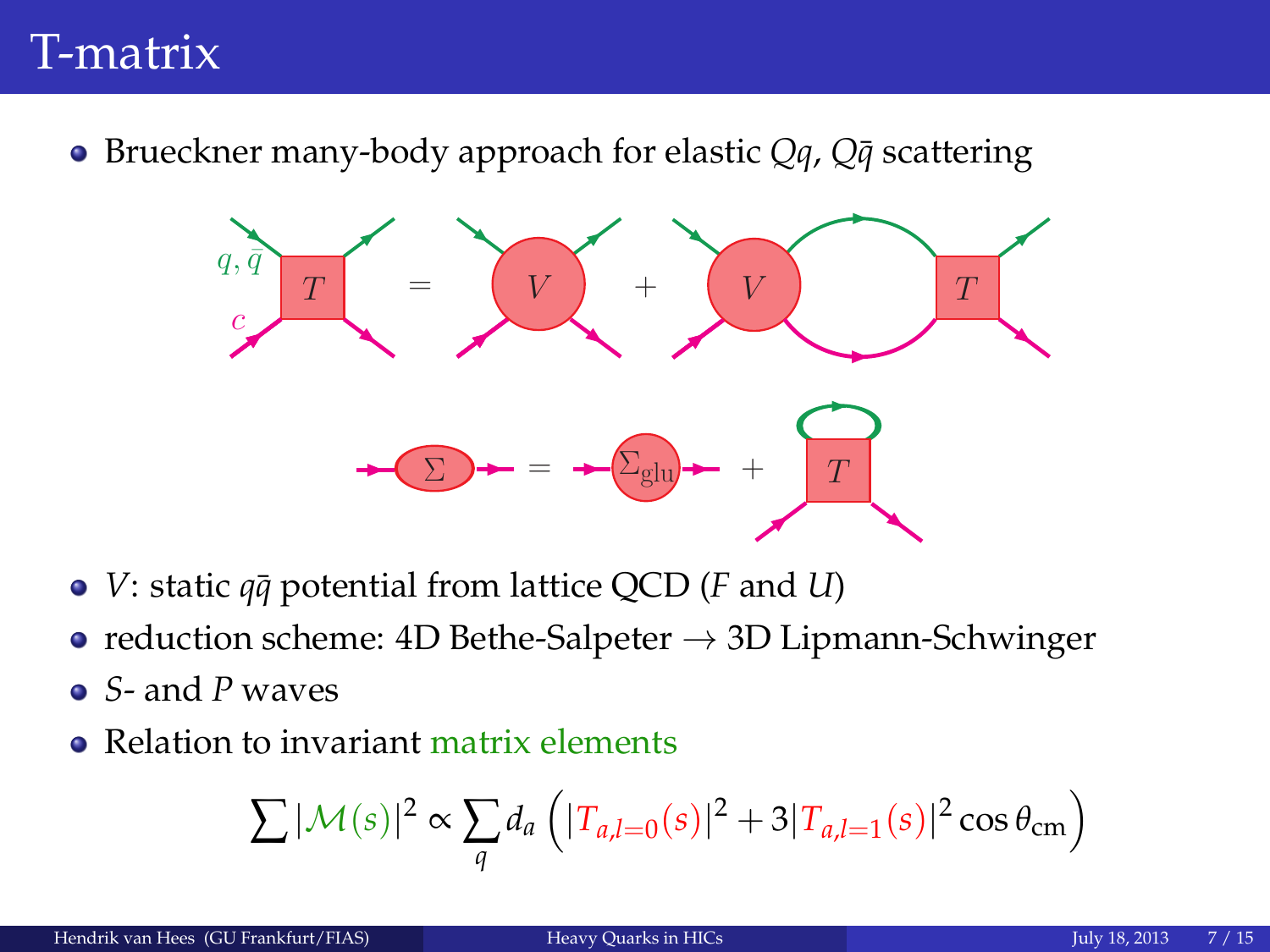### T-matrix

● Brueckner many-body approach for elastic *Qq*, *Q* $\bar{q}$  scattering



- *V*: static  $q\bar{q}$  potential from lattice QCD (*F* and *U*)
- reduction scheme: 4D Bethe-Salpeter  $\rightarrow$  3D Lipmann-Schwinger
- *S* and *P* waves
- Relation to invariant matrix elements

<span id="page-6-0"></span>
$$
\sum |\mathcal{M}(s)|^2 \propto \sum_{q} d_a \left( |T_{a,l=0}(s)|^2 + 3|T_{a,l=1}(s)|^2 \cos \theta_{\rm cm} \right)
$$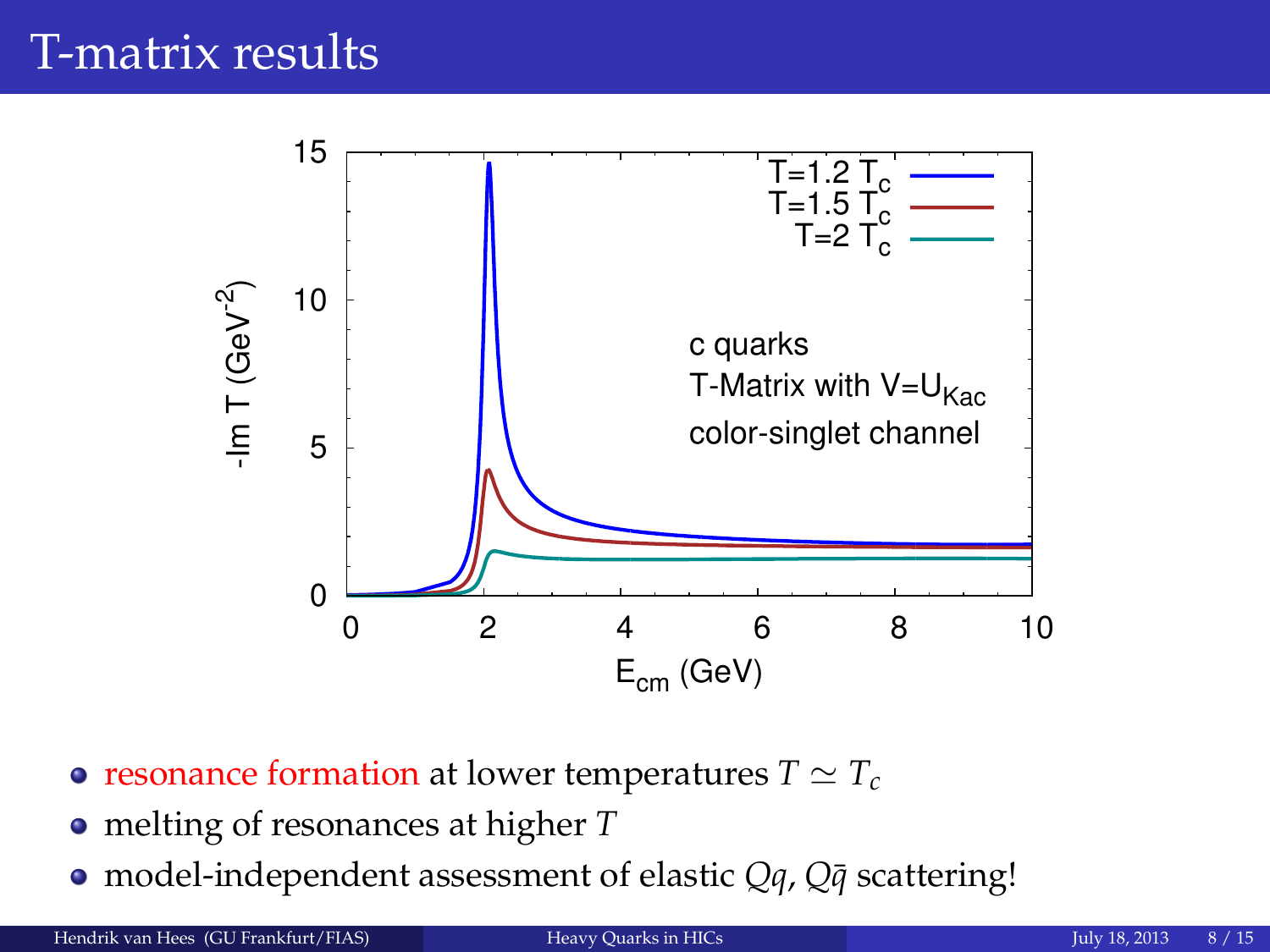### T-matrix results



- resonance formation at lower temperatures  $T \simeq T_c$
- melting of resonances at higher *T*
- model-independent assessment of elastic *Qq*, *Q* $\bar{q}$  scattering!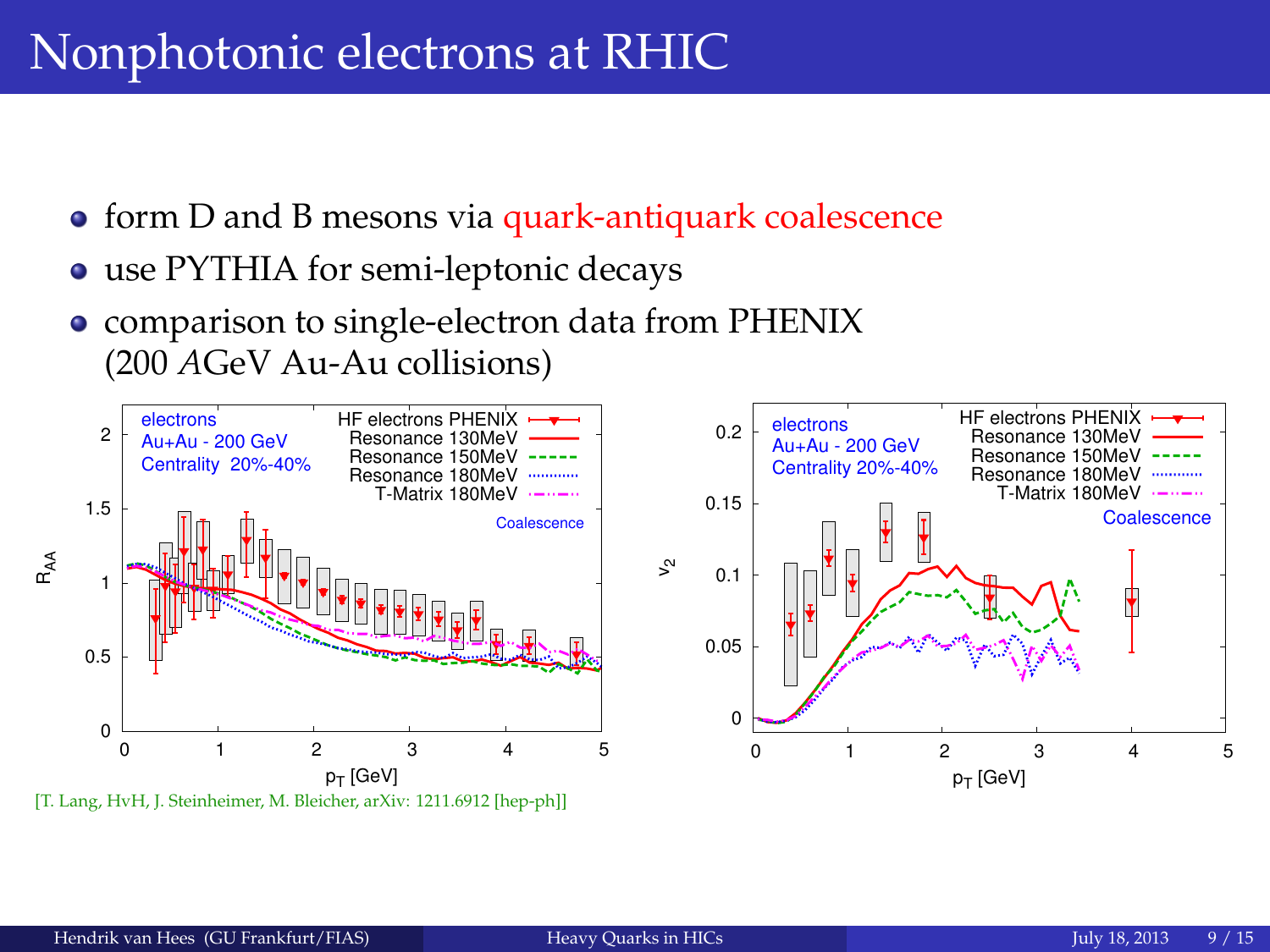## Nonphotonic electrons at RHIC

- **•** form D and B mesons via quark-antiquark coalescence
- use PYTHIA for semi-leptonic decays
- <span id="page-8-0"></span>comparison to single-electron data from PHENIX (200 *A*GeV Au-Au collisions)

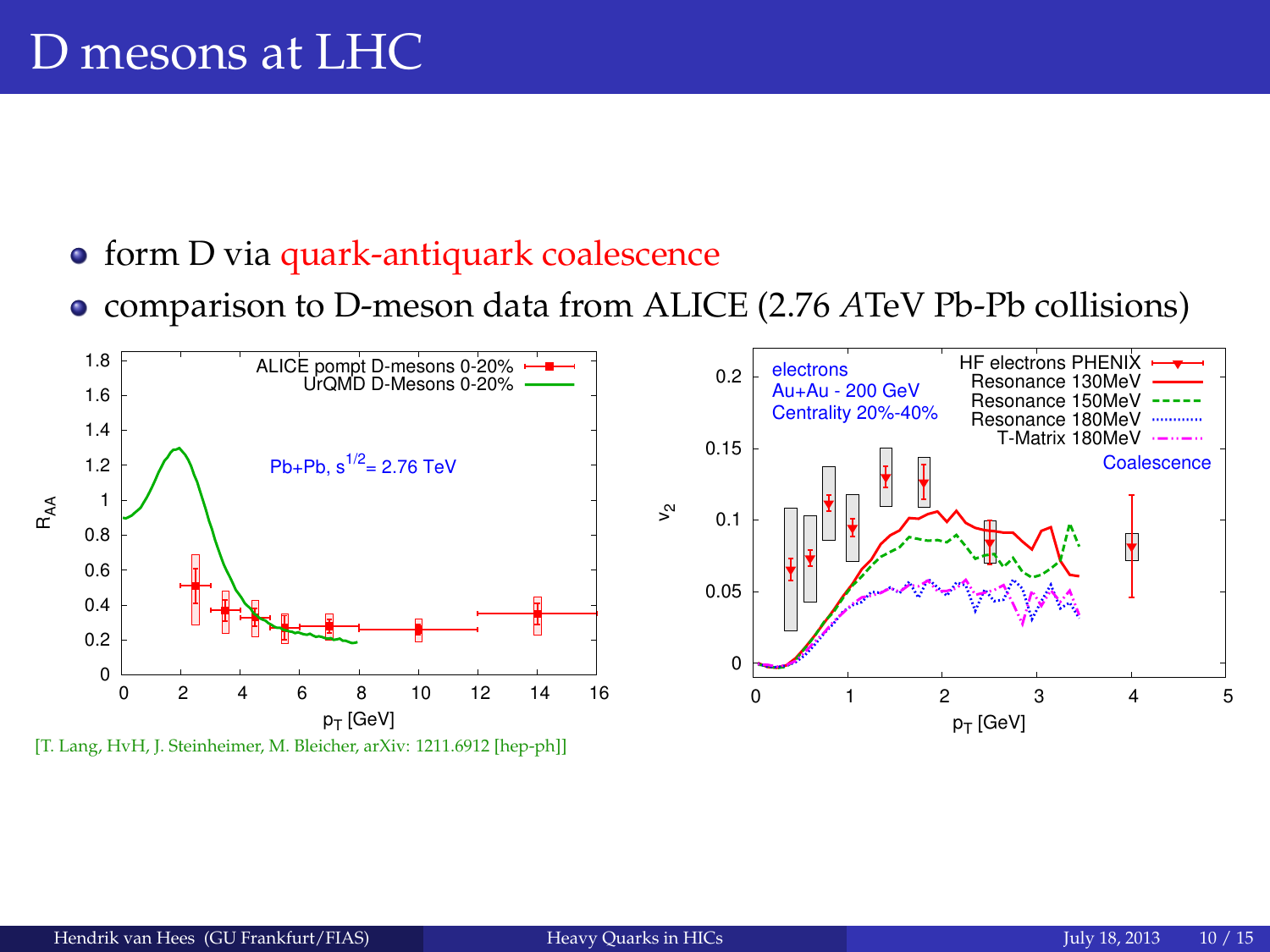### D mesons at LHC

- **•** form D via quark-antiquark coalescence
- <span id="page-9-0"></span>comparison to D-meson data from ALICE (2.76 *A*TeV Pb-Pb collisions)

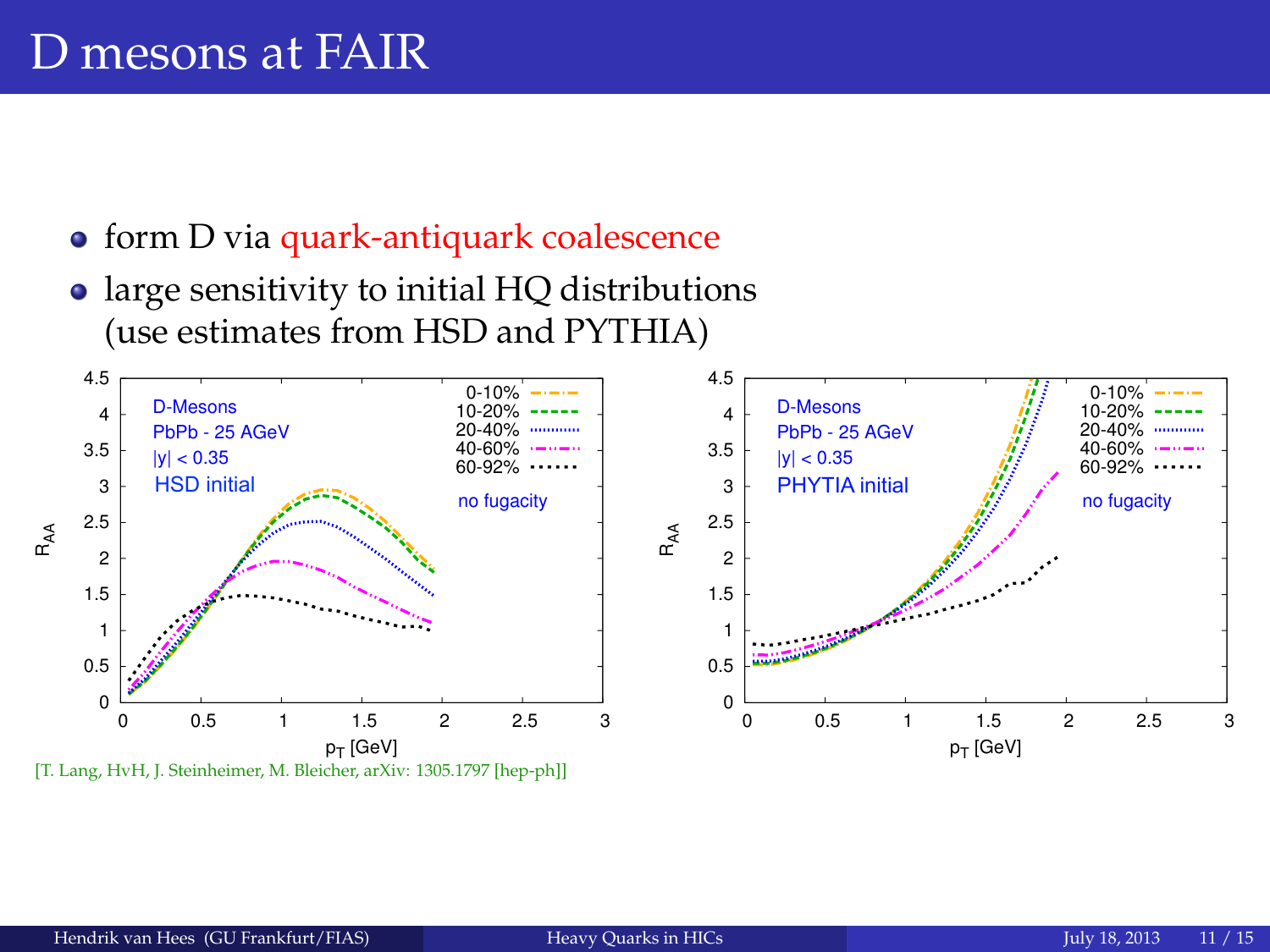### D mesons at FAIR

- **•** form D via quark-antiquark coalescence
- <span id="page-10-0"></span>• large sensitivity to initial HQ distributions (use estimates from HSD and PYTHIA)

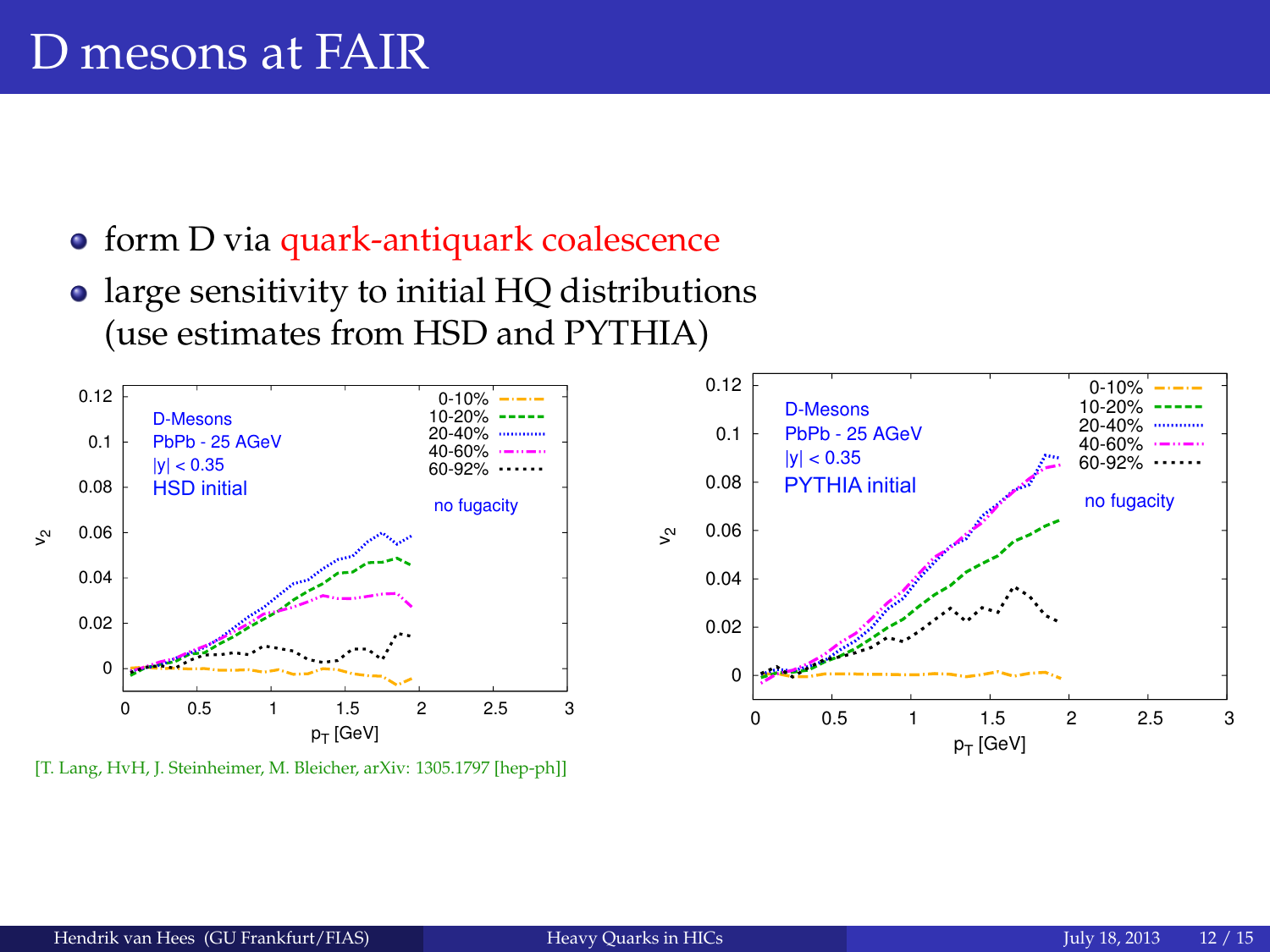- form D via quark-antiquark coalescence
- large sensitivity to initial HQ distributions (use estimates from HSD and PYTHIA)



[T. Lang, HyH, J. Steinheimer, M. Bleicher, arXiv: 1305.1797 [hep-ph]]

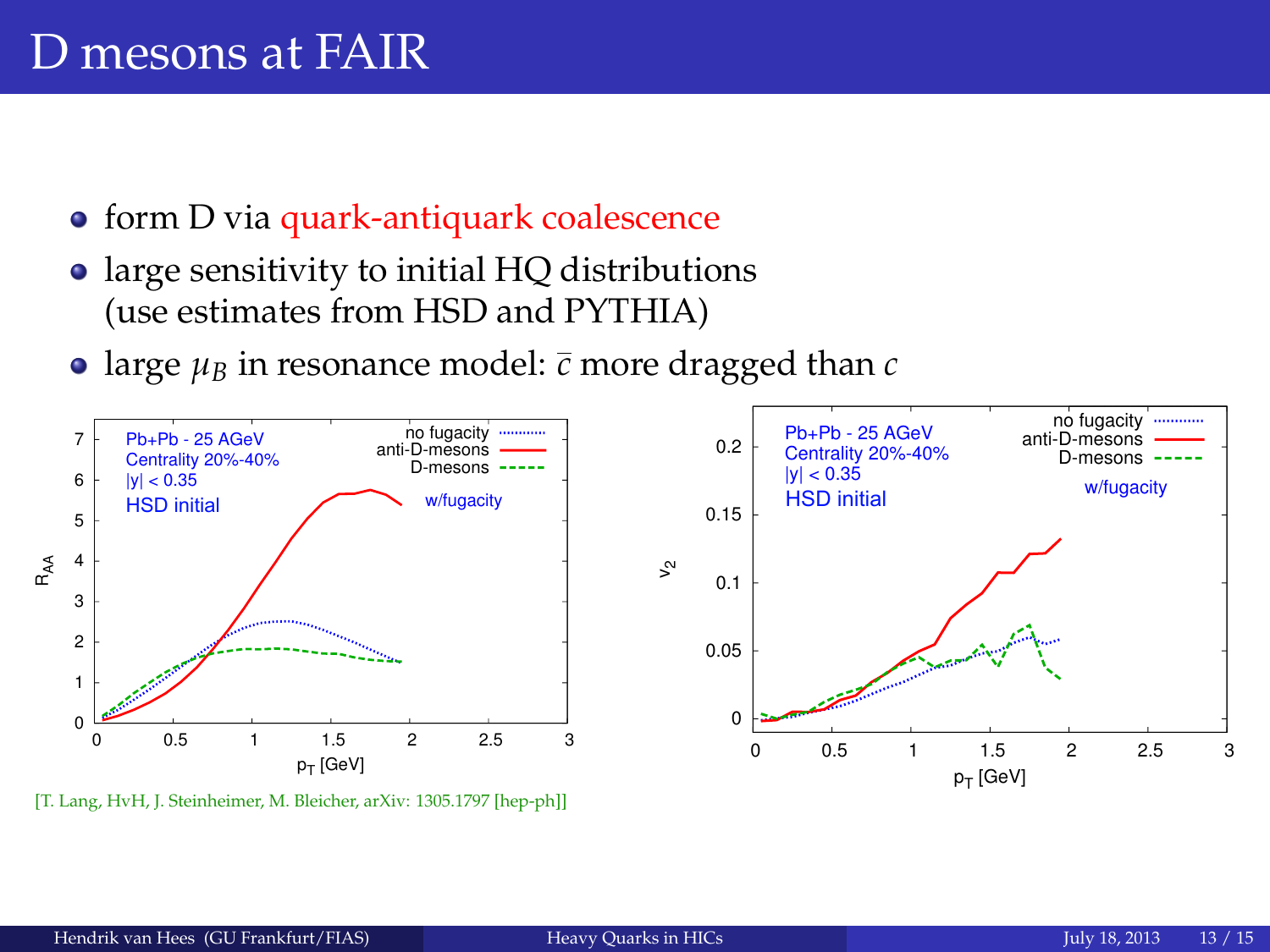- form D via quark-antiquark coalescence
- large sensitivity to initial HQ distributions (use estimates from HSD and PYTHIA)
- large  $\mu_B$  in resonance model:  $\bar{c}$  more dragged than  $c$



[T. Lang, HvH, J. Steinheimer, M. Bleicher, arXiv: 1305.1797 [hep-ph]]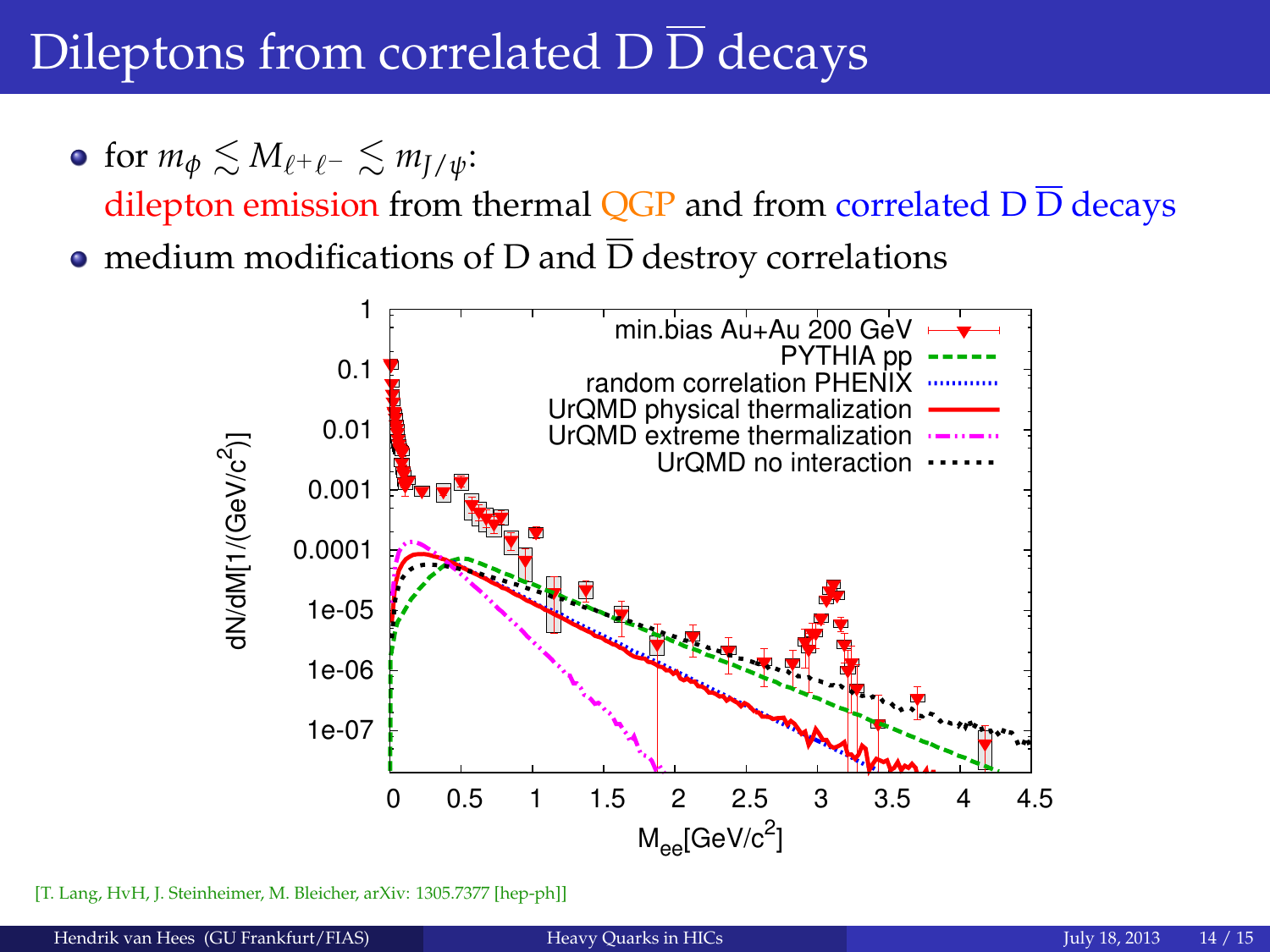# Dileptons from correlated  $\overline{D} \overline{D}$  decays

• for  $m_{\phi} \lesssim M_{\ell^+ \ell^-} \lesssim m_{\bar{I}/\psi}$ :

dilepton emission from thermal OGP and from correlated  $D\overline{D}$  decays

• medium modifications of D and  $\overline{D}$  destroy correlations



<span id="page-13-0"></span>[T. Lang, HyH, J. Steinheimer, M. Bleicher, arXiv: 1305.7377 [hep-ph]]